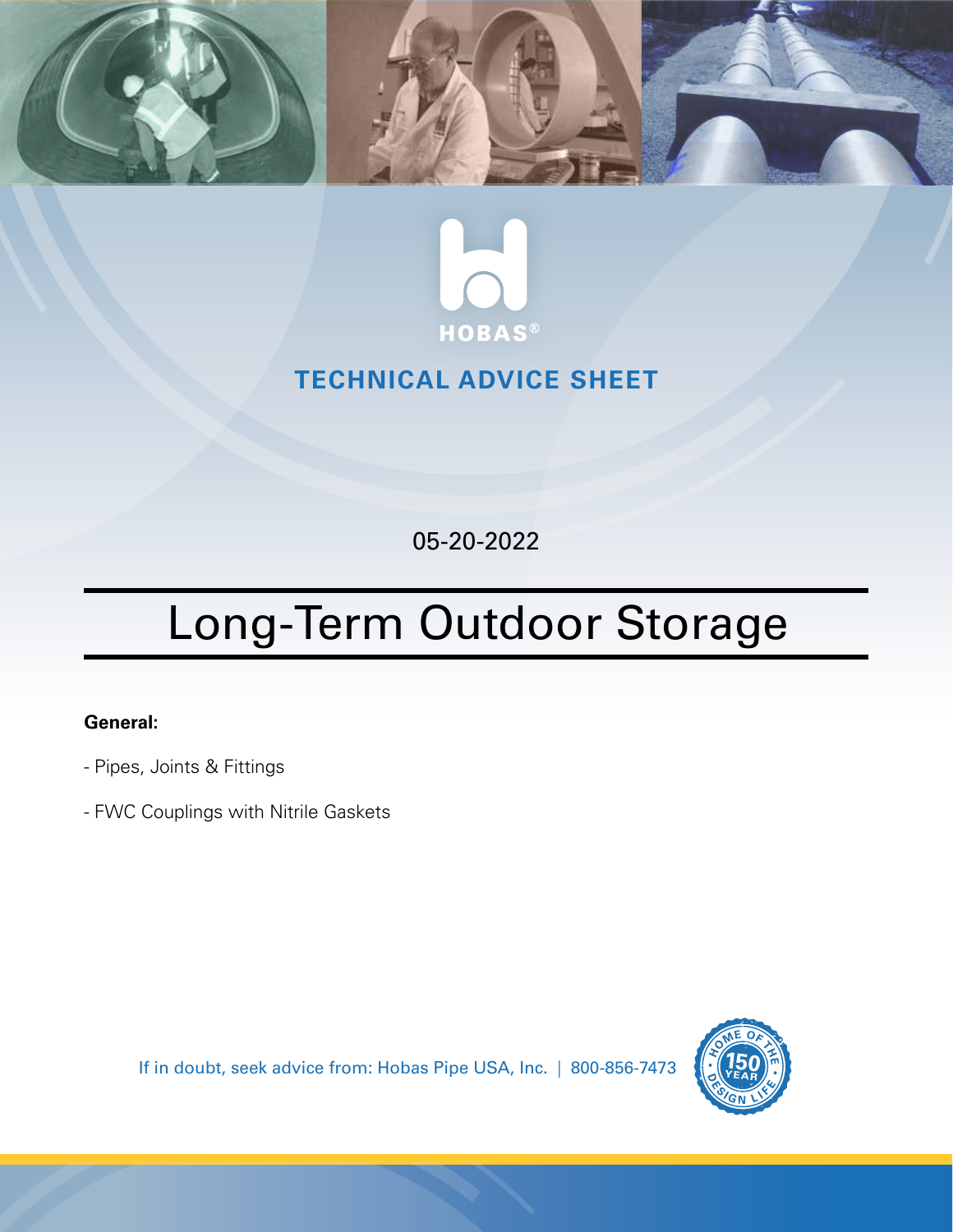



# **TECHNICAL ADVICE SHEET**

05-20-2022

# Long-Term Outdoor Storage

## **General:**

- Pipes, Joints & Fittings
- FWC Couplings with Nitrile Gaskets